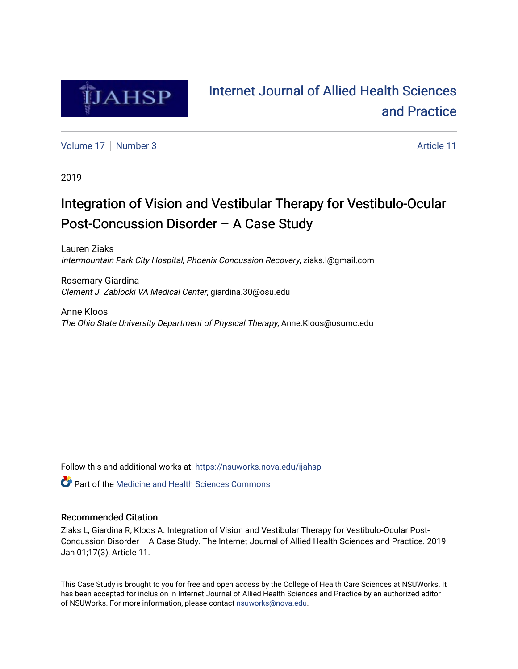

# [Internet Journal of Allied Health Sciences](https://nsuworks.nova.edu/ijahsp)  [and Practice](https://nsuworks.nova.edu/ijahsp)

[Volume 17](https://nsuworks.nova.edu/ijahsp/vol17) [Number 3](https://nsuworks.nova.edu/ijahsp/vol17/iss3) Article 11

2019

# Integration of Vision and Vestibular Therapy for Vestibulo-Ocular Post-Concussion Disorder – A Case Study

Lauren Ziaks Intermountain Park City Hospital, Phoenix Concussion Recovery, ziaks.l@gmail.com

Rosemary Giardina Clement J. Zablocki VA Medical Center, giardina.30@osu.edu

Anne Kloos The Ohio State University Department of Physical Therapy, Anne.Kloos@osumc.edu

Follow this and additional works at: [https://nsuworks.nova.edu/ijahsp](https://nsuworks.nova.edu/ijahsp?utm_source=nsuworks.nova.edu%2Fijahsp%2Fvol17%2Fiss3%2F11&utm_medium=PDF&utm_campaign=PDFCoverPages) 

**C** Part of the Medicine and Health Sciences Commons

# Recommended Citation

Ziaks L, Giardina R, Kloos A. Integration of Vision and Vestibular Therapy for Vestibulo-Ocular Post-Concussion Disorder – A Case Study. The Internet Journal of Allied Health Sciences and Practice. 2019 Jan 01;17(3), Article 11.

This Case Study is brought to you for free and open access by the College of Health Care Sciences at NSUWorks. It has been accepted for inclusion in Internet Journal of Allied Health Sciences and Practice by an authorized editor of NSUWorks. For more information, please contact [nsuworks@nova.edu.](mailto:nsuworks@nova.edu)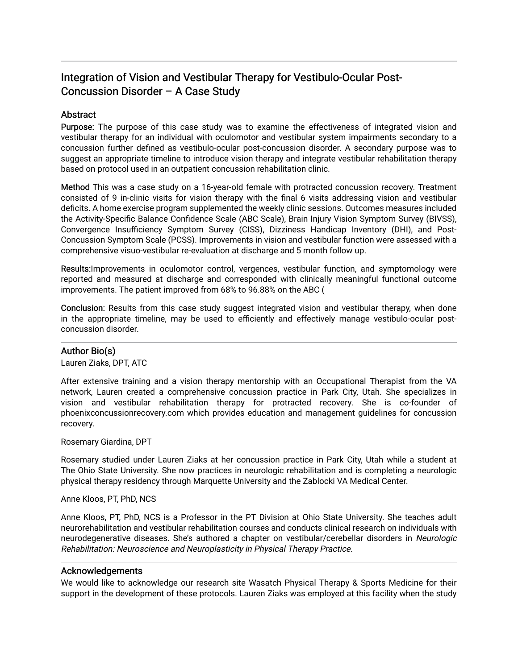# Integration of Vision and Vestibular Therapy for Vestibulo-Ocular Post-Concussion Disorder – A Case Study

# **Abstract**

Purpose: The purpose of this case study was to examine the effectiveness of integrated vision and vestibular therapy for an individual with oculomotor and vestibular system impairments secondary to a concussion further defined as vestibulo-ocular post-concussion disorder. A secondary purpose was to suggest an appropriate timeline to introduce vision therapy and integrate vestibular rehabilitation therapy based on protocol used in an outpatient concussion rehabilitation clinic.

Method This was a case study on a 16-year-old female with protracted concussion recovery. Treatment consisted of 9 in-clinic visits for vision therapy with the final 6 visits addressing vision and vestibular deficits. A home exercise program supplemented the weekly clinic sessions. Outcomes measures included the Activity-Specific Balance Confidence Scale (ABC Scale), Brain Injury Vision Symptom Survey (BIVSS), Convergence Insufficiency Symptom Survey (CISS), Dizziness Handicap Inventory (DHI), and Post-Concussion Symptom Scale (PCSS). Improvements in vision and vestibular function were assessed with a comprehensive visuo-vestibular re-evaluation at discharge and 5 month follow up.

Results:Improvements in oculomotor control, vergences, vestibular function, and symptomology were reported and measured at discharge and corresponded with clinically meaningful functional outcome improvements. The patient improved from 68% to 96.88% on the ABC (

Conclusion: Results from this case study suggest integrated vision and vestibular therapy, when done in the appropriate timeline, may be used to efficiently and effectively manage vestibulo-ocular postconcussion disorder.

# Author Bio(s)

Lauren Ziaks, DPT, ATC

After extensive training and a vision therapy mentorship with an Occupational Therapist from the VA network, Lauren created a comprehensive concussion practice in Park City, Utah. She specializes in vision and vestibular rehabilitation therapy for protracted recovery. She is co-founder of phoenixconcussionrecovery.com which provides education and management guidelines for concussion recovery.

Rosemary Giardina, DPT

Rosemary studied under Lauren Ziaks at her concussion practice in Park City, Utah while a student at The Ohio State University. She now practices in neurologic rehabilitation and is completing a neurologic physical therapy residency through Marquette University and the Zablocki VA Medical Center.

Anne Kloos, PT, PhD, NCS

Anne Kloos, PT, PhD, NCS is a Professor in the PT Division at Ohio State University. She teaches adult neurorehabilitation and vestibular rehabilitation courses and conducts clinical research on individuals with neurodegenerative diseases. She's authored a chapter on vestibular/cerebellar disorders in Neurologic Rehabilitation: Neuroscience and Neuroplasticity in Physical Therapy Practice.

# Acknowledgements

We would like to acknowledge our research site Wasatch Physical Therapy & Sports Medicine for their support in the development of these protocols. Lauren Ziaks was employed at this facility when the study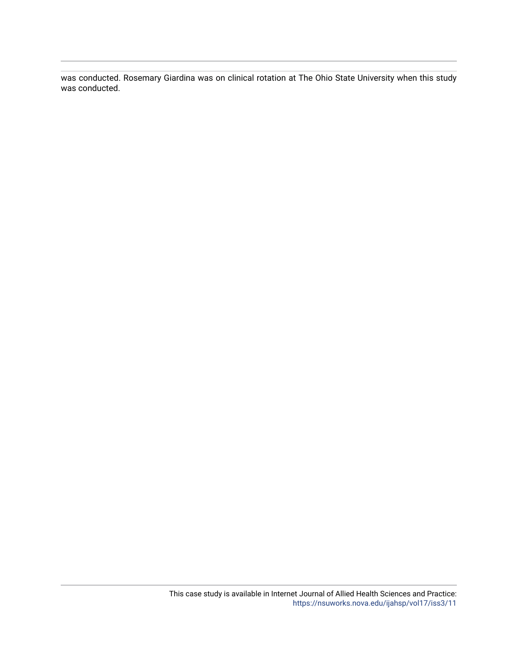was conducted. Rosemary Giardina was on clinical rotation at The Ohio State University when this study was conducted.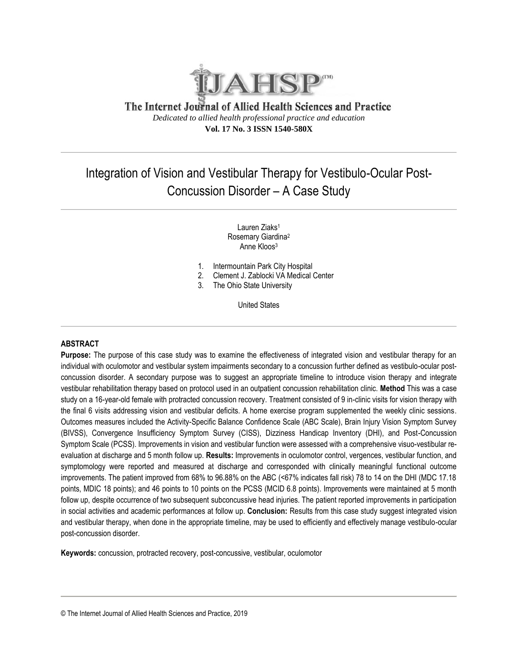

The Internet Journal of Allied Health Sciences and Practice *Dedicated to allied health professional practice and education* **Vol. 17 No. 3 ISSN 1540-580X**

# Integration of Vision and Vestibular Therapy for Vestibulo-Ocular Post-Concussion Disorder – A Case Study

Lauren Ziaks<sup>1</sup> Rosemary Giardina<sup>2</sup> Anne Kloos<sup>3</sup>

- 1. Intermountain Park City Hospital
- 2. Clement J. Zablocki VA Medical Center
- 3. The Ohio State University

United States

# **ABSTRACT**

**Purpose:** The purpose of this case study was to examine the effectiveness of integrated vision and vestibular therapy for an individual with oculomotor and vestibular system impairments secondary to a concussion further defined as vestibulo-ocular postconcussion disorder. A secondary purpose was to suggest an appropriate timeline to introduce vision therapy and integrate vestibular rehabilitation therapy based on protocol used in an outpatient concussion rehabilitation clinic. **Method** This was a case study on a 16-year-old female with protracted concussion recovery. Treatment consisted of 9 in-clinic visits for vision therapy with the final 6 visits addressing vision and vestibular deficits. A home exercise program supplemented the weekly clinic sessions. Outcomes measures included the Activity-Specific Balance Confidence Scale (ABC Scale), Brain Injury Vision Symptom Survey (BIVSS), Convergence Insufficiency Symptom Survey (CISS), Dizziness Handicap Inventory (DHI), and Post-Concussion Symptom Scale (PCSS). Improvements in vision and vestibular function were assessed with a comprehensive visuo-vestibular reevaluation at discharge and 5 month follow up. **Results:** Improvements in oculomotor control, vergences, vestibular function, and symptomology were reported and measured at discharge and corresponded with clinically meaningful functional outcome improvements. The patient improved from 68% to 96.88% on the ABC (<67% indicates fall risk) 78 to 14 on the DHI (MDC 17.18 points, MDIC 18 points); and 46 points to 10 points on the PCSS (MCID 6.8 points). Improvements were maintained at 5 month follow up, despite occurrence of two subsequent subconcussive head injuries. The patient reported improvements in participation in social activities and academic performances at follow up. **Conclusion:** Results from this case study suggest integrated vision and vestibular therapy, when done in the appropriate timeline, may be used to efficiently and effectively manage vestibulo-ocular post-concussion disorder.

**Keywords:** concussion, protracted recovery, post-concussive, vestibular, oculomotor

© The Internet Journal of Allied Health Sciences and Practice, 2019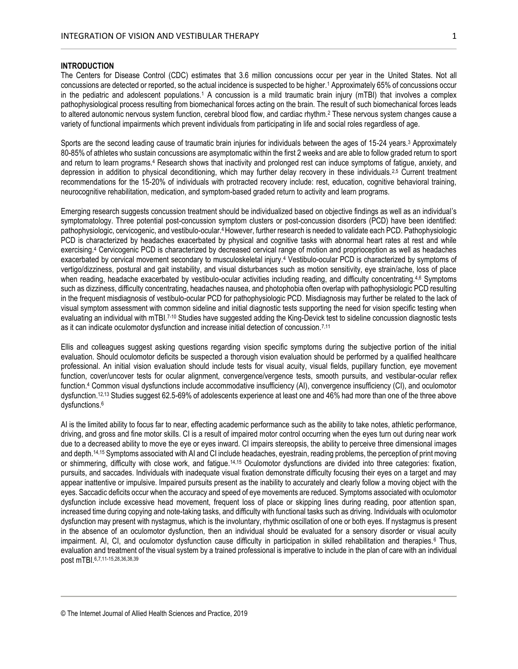# **INTRODUCTION**

The Centers for Disease Control (CDC) estimates that 3.6 million concussions occur per year in the United States. Not all concussions are detected or reported, so the actual incidence is suspected to be higher.<sup>1</sup> Approximately 65% of concussions occur in the pediatric and adolescent populations.<sup>1</sup> A concussion is a mild traumatic brain injury (mTBI) that involves a complex pathophysiological process resulting from biomechanical forces acting on the brain. The result of such biomechanical forces leads to altered autonomic nervous system function, cerebral blood flow, and cardiac rhythm.<sup>2</sup> These nervous system changes cause a variety of functional impairments which prevent individuals from participating in life and social roles regardless of age.

Sports are the second leading cause of traumatic brain injuries for individuals between the ages of 15-24 years.<sup>3</sup> Approximately 80-85% of athletes who sustain concussions are asymptomatic within the first 2 weeks and are able to follow graded return to sport and return to learn programs.<sup>4</sup> Research shows that inactivity and prolonged rest can induce symptoms of fatigue, anxiety, and depression in addition to physical deconditioning, which may further delay recovery in these individuals.<sup>2,5</sup> Current treatment recommendations for the 15-20% of individuals with protracted recovery include: rest, education, cognitive behavioral training, neurocognitive rehabilitation, medication, and symptom-based graded return to activity and learn programs.

Emerging research suggests concussion treatment should be individualized based on objective findings as well as an individual's symptomatology. Three potential post-concussion symptom clusters or post-concussion disorders (PCD) have been identified: pathophysiologic, cervicogenic, and vestibulo-ocular.4 However, further research is needed to validate each PCD. Pathophysiologic PCD is characterized by headaches exacerbated by physical and cognitive tasks with abnormal heart rates at rest and while exercising. <sup>4</sup> Cervicogenic PCD is characterized by decreased cervical range of motion and proprioception as well as headaches exacerbated by cervical movement secondary to musculoskeletal injury.<sup>4</sup> Vestibulo-ocular PCD is characterized by symptoms of vertigo/dizziness, postural and gait instability, and visual disturbances such as motion sensitivity, eye strain/ache, loss of place when reading, headache exacerbated by vestibulo-ocular activities including reading, and difficulty concentrating.<sup>4,6</sup> Symptoms such as dizziness, difficulty concentrating, headaches nausea, and photophobia often overlap with pathophysiologic PCD resulting in the frequent misdiagnosis of vestibulo-ocular PCD for pathophysiologic PCD. Misdiagnosis may further be related to the lack of visual symptom assessment with common sideline and initial diagnostic tests supporting the need for vision specific testing when evaluating an individual with mTBI.<sup>7-10</sup> Studies have suggested adding the King-Devick test to sideline concussion diagnostic tests as it can indicate oculomotor dysfunction and increase initial detection of concussion.7,11

Ellis and colleagues suggest asking questions regarding vision specific symptoms during the subjective portion of the initial evaluation. Should oculomotor deficits be suspected a thorough vision evaluation should be performed by a qualified healthcare professional. An initial vision evaluation should include tests for visual acuity, visual fields, pupillary function, eye movement function, cover/uncover tests for ocular alignment, convergence/vergence tests, smooth pursuits, and vestibular-ocular reflex function.<sup>4</sup> Common visual dysfunctions include accommodative insufficiency (AI), convergence insufficiency (CI), and oculomotor dysfunction.12,13 Studies suggest 62.5-69% of adolescents experience at least one and 46% had more than one of the three above dysfunctions.<sup>6</sup>

AI is the limited ability to focus far to near, effecting academic performance such as the ability to take notes, athletic performance, driving, and gross and fine motor skills. CI is a result of impaired motor control occurring when the eyes turn out during near work due to a decreased ability to move the eye or eyes inward. CI impairs stereopsis, the ability to perceive three dimensional images and depth.14,15 Symptoms associated with AI and CI include headaches, eyestrain, reading problems, the perception of print moving or shimmering, difficulty with close work, and fatigue.14,15 Oculomotor dysfunctions are divided into three categories: fixation, pursuits, and saccades. Individuals with inadequate visual fixation demonstrate difficulty focusing their eyes on a target and may appear inattentive or impulsive. Impaired pursuits present as the inability to accurately and clearly follow a moving object with the eyes. Saccadic deficits occur when the accuracy and speed of eye movements are reduced. Symptoms associated with oculomotor dysfunction include excessive head movement, frequent loss of place or skipping lines during reading, poor attention span, increased time during copying and note-taking tasks, and difficulty with functional tasks such as driving. Individuals with oculomotor dysfunction may present with nystagmus, which is the involuntary, rhythmic oscillation of one or both eyes. If nystagmus is present in the absence of an oculomotor dysfunction, then an individual should be evaluated for a sensory disorder or visual acuity impairment. AI, CI, and oculomotor dysfunction cause difficulty in participation in skilled rehabilitation and therapies.<sup>6</sup> Thus, evaluation and treatment of the visual system by a trained professional is imperative to include in the plan of care with an individual post mTBI.6,7,11-15,28,36,38,39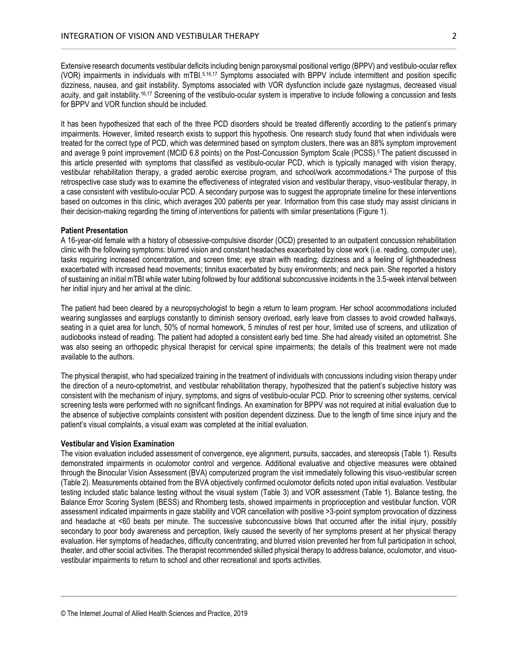Extensive research documents vestibular deficits including benign paroxysmal positional vertigo (BPPV) and vestibulo-ocular reflex (VOR) impairments in individuals with mTBI.5,16,17 Symptoms associated with BPPV include intermittent and position specific dizziness, nausea, and gait instability. Symptoms associated with VOR dysfunction include gaze nystagmus, decreased visual acuity, and gait instability.16,17 Screening of the vestibulo-ocular system is imperative to include following a concussion and tests for BPPV and VOR function should be included.

It has been hypothesized that each of the three PCD disorders should be treated differently according to the patient's primary impairments. However, limited research exists to support this hypothesis. One research study found that when individuals were treated for the correct type of PCD, which was determined based on symptom clusters, there was an 88% symptom improvement and average 9 point improvement (MCID 6.8 points) on the Post-Concussion Symptom Scale (PCSS).5 The patient discussed in this article presented with symptoms that classified as vestibulo-ocular PCD, which is typically managed with vision therapy, vestibular rehabilitation therapy, a graded aerobic exercise program, and school/work accommodations.4 The purpose of this retrospective case study was to examine the effectiveness of integrated vision and vestibular therapy, visuo-vestibular therapy, in a case consistent with vestibulo-ocular PCD. A secondary purpose was to suggest the appropriate timeline for these interventions based on outcomes in this clinic, which averages 200 patients per year. Information from this case study may assist clinicians in their decision-making regarding the timing of interventions for patients with similar presentations (Figure 1).

#### **Patient Presentation**

A 16-year-old female with a history of obsessive-compulsive disorder (OCD) presented to an outpatient concussion rehabilitation clinic with the following symptoms: blurred vision and constant headaches exacerbated by close work (i.e. reading, computer use), tasks requiring increased concentration, and screen time; eye strain with reading; dizziness and a feeling of lightheadedness exacerbated with increased head movements; tinnitus exacerbated by busy environments; and neck pain. She reported a history of sustaining an initial mTBI while water tubing followed by four additional subconcussive incidents in the 3.5-week interval between her initial injury and her arrival at the clinic.

The patient had been cleared by a neuropsychologist to begin a return to learn program. Her school accommodations included wearing sunglasses and earplugs constantly to diminish sensory overload, early leave from classes to avoid crowded hallways, seating in a quiet area for lunch, 50% of normal homework, 5 minutes of rest per hour, limited use of screens, and utilization of audiobooks instead of reading. The patient had adopted a consistent early bed time. She had already visited an optometrist. She was also seeing an orthopedic physical therapist for cervical spine impairments; the details of this treatment were not made available to the authors.

The physical therapist, who had specialized training in the treatment of individuals with concussions including vision therapy under the direction of a neuro-optometrist, and vestibular rehabilitation therapy, hypothesized that the patient's subjective history was consistent with the mechanism of injury, symptoms, and signs of vestibulo-ocular PCD. Prior to screening other systems, cervical screening tests were performed with no significant findings. An examination for BPPV was not required at initial evaluation due to the absence of subjective complaints consistent with position dependent dizziness. Due to the length of time since injury and the patient's visual complaints, a visual exam was completed at the initial evaluation.

#### **Vestibular and Vision Examination**

The vision evaluation included assessment of convergence, eye alignment, pursuits, saccades, and stereopsis (Table 1). Results demonstrated impairments in oculomotor control and vergence. Additional evaluative and objective measures were obtained through the Binocular Vision Assessment (BVA) computerized program the visit immediately following this visuo-vestibular screen (Table 2). Measurements obtained from the BVA objectively confirmed oculomotor deficits noted upon initial evaluation. Vestibular testing included static balance testing without the visual system (Table 3) and VOR assessment (Table 1). Balance testing, the Balance Error Scoring System (BESS) and Rhomberg tests, showed impairments in proprioception and vestibular function. VOR assessment indicated impairments in gaze stability and VOR cancellation with positive >3-point symptom provocation of dizziness and headache at <60 beats per minute. The successive subconcussive blows that occurred after the initial injury, possibly secondary to poor body awareness and perception, likely caused the severity of her symptoms present at her physical therapy evaluation. Her symptoms of headaches, difficulty concentrating, and blurred vision prevented her from full participation in school, theater, and other social activities. The therapist recommended skilled physical therapy to address balance, oculomotor, and visuovestibular impairments to return to school and other recreational and sports activities.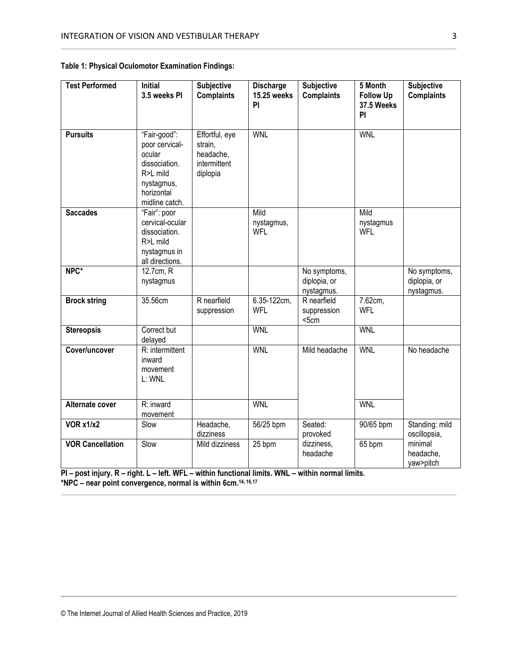| <b>Test Performed</b>   | <b>Initial</b><br>3.5 weeks PI                                                                                      | Subjective<br><b>Complaints</b>                                    | Discharge<br><b>15.25 weeks</b><br>PI | Subjective<br><b>Complaints</b>            | 5 Month<br><b>Follow Up</b><br><b>37.5 Weeks</b><br>PI | <b>Subjective</b><br><b>Complaints</b>     |
|-------------------------|---------------------------------------------------------------------------------------------------------------------|--------------------------------------------------------------------|---------------------------------------|--------------------------------------------|--------------------------------------------------------|--------------------------------------------|
| <b>Pursuits</b>         | "Fair-good":<br>poor cervical-<br>ocular<br>dissociation.<br>R>L mild<br>nystagmus,<br>horizontal<br>midline catch. | Effortful, eye<br>strain,<br>headache,<br>intermittent<br>diplopia | <b>WNL</b>                            |                                            | <b>WNL</b>                                             |                                            |
| <b>Saccades</b>         | "Fair": poor<br>cervical-ocular<br>dissociation.<br>R>L mild<br>nystagmus in<br>all directions.                     |                                                                    | Mild<br>nystagmus,<br><b>WFL</b>      |                                            | Mild<br>nystagmus<br><b>WFL</b>                        |                                            |
| NPC*                    | 12.7cm, R<br>nystagmus                                                                                              |                                                                    |                                       | No symptoms,<br>diplopia, or<br>nystagmus. |                                                        | No symptoms,<br>diplopia, or<br>nystagmus. |
| <b>Brock string</b>     | 35.56cm                                                                                                             | R nearfield<br>suppression                                         | 6.35-122cm,<br><b>WFL</b>             | R nearfield<br>suppression<br>5cm          | 7.62cm,<br><b>WFL</b>                                  |                                            |
| <b>Stereopsis</b>       | Correct but<br>delayed                                                                                              |                                                                    | <b>WNL</b>                            |                                            | <b>WNL</b>                                             |                                            |
| Cover/uncover           | R: intermittent<br>inward<br>movement<br>L: WNL                                                                     |                                                                    | <b>WNL</b>                            | Mild headache                              | <b>WNL</b>                                             | No headache                                |
| Alternate cover         | R: inward<br>movement                                                                                               |                                                                    | <b>WNL</b>                            |                                            | <b>WNL</b>                                             |                                            |
| <b>VOR x1/x2</b>        | Slow                                                                                                                | Headache,<br>dizziness                                             | 56/25 bpm                             | Seated:<br>provoked                        | 90/65 bpm                                              | Standing: mild<br>oscillopsia,             |
| <b>VOR Cancellation</b> | Slow                                                                                                                | Mild dizziness                                                     | 25 bpm                                | dizziness,<br>headache                     | 65 bpm                                                 | minimal<br>headache,<br>yaw>pitch          |

| Table 1: Physical Oculomotor Examination Findings: |  |  |  |  |
|----------------------------------------------------|--|--|--|--|
|----------------------------------------------------|--|--|--|--|

**PI – post injury. R – right. L – left. WFL – within functional limits. WNL – within normal limits. \*NPC – near point convergence, normal is within 6cm. 14, 16,17**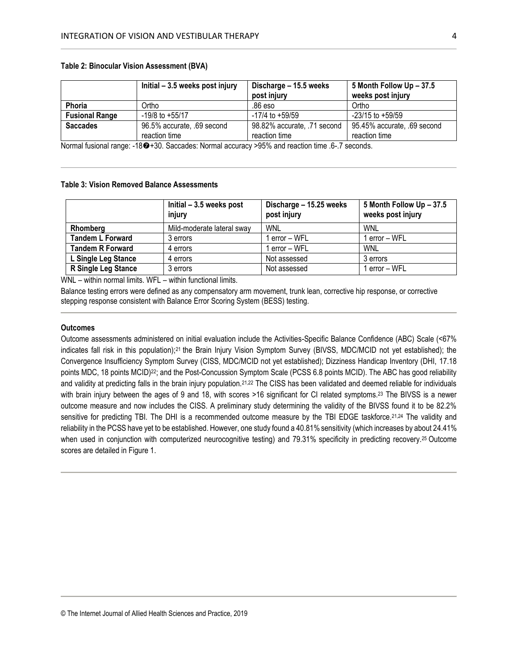|                       | Initial – 3.5 weeks post injury | Discharge - 15.5 weeks      | 5 Month Follow Up - 37.5    |  |
|-----------------------|---------------------------------|-----------------------------|-----------------------------|--|
|                       |                                 | post injury                 | weeks post injury           |  |
| Phoria                | Ortho                           | .86 eso                     | Ortho                       |  |
| <b>Fusional Range</b> | $-19/8$ to $+55/17$             | $-17/4$ to $+59/59$         | $-23/15$ to $+59/59$        |  |
| <b>Saccades</b>       | 96.5% accurate, .69 second      | 98.82% accurate, .71 second | 95.45% accurate, .69 second |  |
|                       | reaction time                   | reaction time               | reaction time               |  |

### **Table 2: Binocular Vision Assessment (BVA)**

Normal fusional range: -180+30. Saccades: Normal accuracy >95% and reaction time .6-.7 seconds.

# **Table 3: Vision Removed Balance Assessments**

|                         | Initial $-3.5$ weeks post<br>injury | Discharge - 15.25 weeks<br>post injury | 5 Month Follow Up - 37.5<br>weeks post injury |
|-------------------------|-------------------------------------|----------------------------------------|-----------------------------------------------|
| Rhomberg                | Mild-moderate lateral sway          | WNL                                    | <b>WNL</b>                                    |
| <b>Tandem L Forward</b> | 3 errors                            | 1 error – WFL                          | 1 error – WFL                                 |
| <b>Tandem R Forward</b> | 4 errors                            | 1 error – WFL                          | <b>WNL</b>                                    |
| L Single Leg Stance     | 4 errors                            | Not assessed                           | 3 errors                                      |
| R Single Leg Stance     | 3 errors                            | Not assessed                           | 1 error – WFL                                 |

WNL – within normal limits. WFL – within functional limits.

Balance testing errors were defined as any compensatory arm movement, trunk lean, corrective hip response, or corrective stepping response consistent with Balance Error Scoring System (BESS) testing.

#### **Outcomes**

Outcome assessments administered on initial evaluation include the Activities-Specific Balance Confidence (ABC) Scale (<67% indicates fall risk in this population);<sup>21</sup> the Brain Injury Vision Symptom Survey (BIVSS, MDC/MCID not yet established); the Convergence Insufficiency Symptom Survey (CISS, MDC/MCID not yet established); Dizziness Handicap Inventory (DHI, 17.18 points MDC, 18 points MCID) <sup>22</sup>; and the Post-Concussion Symptom Scale (PCSS 6.8 points MCID). The ABC has good reliability and validity at predicting falls in the brain injury population.<sup>21,22</sup> The CISS has been validated and deemed reliable for individuals with brain injury between the ages of 9 and 18, with scores >16 significant for CI related symptoms.<sup>23</sup> The BIVSS is a newer outcome measure and now includes the CISS. A preliminary study determining the validity of the BIVSS found it to be 82.2% sensitive for predicting TBI. The DHI is a recommended outcome measure by the TBI EDGE taskforce.<sup>21,24</sup> The validity and reliability in the PCSS have yet to be established. However, one study found a 40.81% sensitivity (which increases by about 24.41% when used in conjunction with computerized neurocognitive testing) and 79.31% specificity in predicting recovery.<sup>25</sup> Outcome scores are detailed in Figure 1.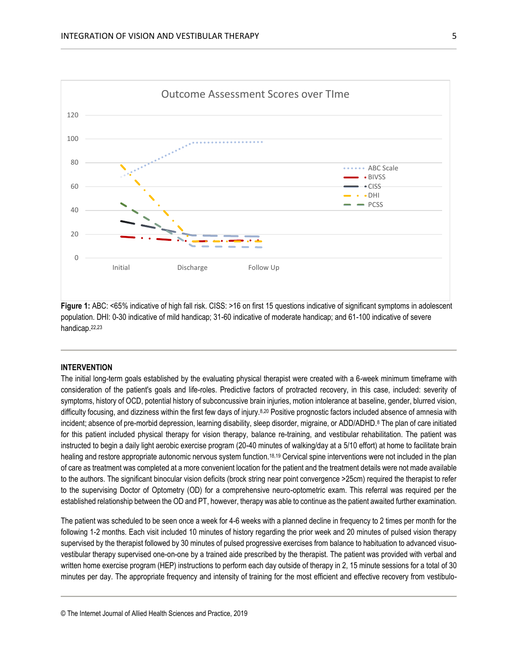

**Figure 1:** ABC: <65% indicative of high fall risk. CISS: >16 on first 15 questions indicative of significant symptoms in adolescent population. DHI: 0-30 indicative of mild handicap; 31-60 indicative of moderate handicap; and 61-100 indicative of severe handicap.22,23

## **INTERVENTION**

The initial long-term goals established by the evaluating physical therapist were created with a 6-week minimum timeframe with consideration of the patient's goals and life-roles. Predictive factors of protracted recovery, in this case, included: severity of symptoms, history of OCD, potential history of subconcussive brain injuries, motion intolerance at baseline, gender, blurred vision, difficulty focusing, and dizziness within the first few days of injury.<sup>8,20</sup> Positive prognostic factors included absence of amnesia with incident; absence of pre-morbid depression, learning disability, sleep disorder, migraine, or ADD/ADHD.<sup>8</sup> The plan of care initiated for this patient included physical therapy for vision therapy, balance re-training, and vestibular rehabilitation. The patient was instructed to begin a daily light aerobic exercise program (20-40 minutes of walking/day at a 5/10 effort) at home to facilitate brain healing and restore appropriate autonomic nervous system function.18,19 Cervical spine interventions were not included in the plan of care as treatment was completed at a more convenient location for the patient and the treatment details were not made available to the authors. The significant binocular vision deficits (brock string near point convergence >25cm) required the therapist to refer to the supervising Doctor of Optometry (OD) for a comprehensive neuro-optometric exam. This referral was required per the established relationship between the OD and PT, however, therapy was able to continue as the patient awaited further examination.

The patient was scheduled to be seen once a week for 4-6 weeks with a planned decline in frequency to 2 times per month for the following 1-2 months. Each visit included 10 minutes of history regarding the prior week and 20 minutes of pulsed vision therapy supervised by the therapist followed by 30 minutes of pulsed progressive exercises from balance to habituation to advanced visuovestibular therapy supervised one-on-one by a trained aide prescribed by the therapist. The patient was provided with verbal and written home exercise program (HEP) instructions to perform each day outside of therapy in 2, 15 minute sessions for a total of 30 minutes per day. The appropriate frequency and intensity of training for the most efficient and effective recovery from vestibulo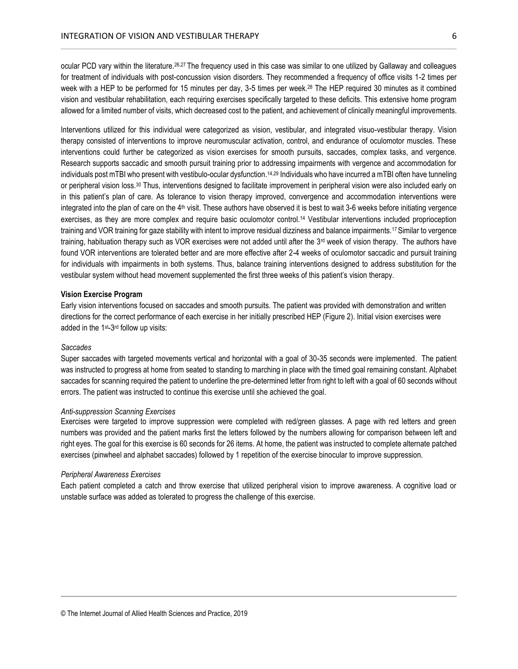ocular PCD vary within the literature.26,27 The frequency used in this case was similar to one utilized by Gallaway and colleagues for treatment of individuals with post-concussion vision disorders. They recommended a frequency of office visits 1-2 times per week with a HEP to be performed for 15 minutes per day, 3-5 times per week.<sup>28</sup> The HEP required 30 minutes as it combined vision and vestibular rehabilitation, each requiring exercises specifically targeted to these deficits. This extensive home program allowed for a limited number of visits, which decreased cost to the patient, and achievement of clinically meaningful improvements.

Interventions utilized for this individual were categorized as vision, vestibular, and integrated visuo-vestibular therapy. Vision therapy consisted of interventions to improve neuromuscular activation, control, and endurance of oculomotor muscles. These interventions could further be categorized as vision exercises for smooth pursuits, saccades, complex tasks, and vergence. Research supports saccadic and smooth pursuit training prior to addressing impairments with vergence and accommodation for individuals post mTBI who present with vestibulo-ocular dysfunction.<sup>14,29</sup> Individuals who have incurred a mTBI often have tunneling or peripheral vision loss.<sup>30</sup> Thus, interventions designed to facilitate improvement in peripheral vision were also included early on in this patient's plan of care. As tolerance to vision therapy improved, convergence and accommodation interventions were integrated into the plan of care on the 4<sup>th</sup> visit. These authors have observed it is best to wait 3-6 weeks before initiating vergence exercises, as they are more complex and require basic oculomotor control.<sup>14</sup> Vestibular interventions included proprioception training and VOR training for gaze stability with intent to improve residual dizziness and balance impairments.17 Similar to vergence training, habituation therapy such as VOR exercises were not added until after the  $3<sup>rd</sup>$  week of vision therapy. The authors have found VOR interventions are tolerated better and are more effective after 2-4 weeks of oculomotor saccadic and pursuit training for individuals with impairments in both systems. Thus, balance training interventions designed to address substitution for the vestibular system without head movement supplemented the first three weeks of this patient's vision therapy.

## **Vision Exercise Program**

Early vision interventions focused on saccades and smooth pursuits. The patient was provided with demonstration and written directions for the correct performance of each exercise in her initially prescribed HEP (Figure 2). Initial vision exercises were added in the 1<sup>st</sup>-3<sup>rd</sup> follow up visits:

## *Saccades*

Super saccades with targeted movements vertical and horizontal with a goal of 30-35 seconds were implemented. The patient was instructed to progress at home from seated to standing to marching in place with the timed goal remaining constant. Alphabet saccades for scanning required the patient to underline the pre-determined letter from right to left with a goal of 60 seconds without errors. The patient was instructed to continue this exercise until she achieved the goal.

#### *Anti-suppression Scanning Exercises*

Exercises were targeted to improve suppression were completed with red/green glasses. A page with red letters and green numbers was provided and the patient marks first the letters followed by the numbers allowing for comparison between left and right eyes. The goal for this exercise is 60 seconds for 26 items. At home, the patient was instructed to complete alternate patched exercises (pinwheel and alphabet saccades) followed by 1 repetition of the exercise binocular to improve suppression.

### *Peripheral Awareness Exercises*

Each patient completed a catch and throw exercise that utilized peripheral vision to improve awareness. A cognitive load or unstable surface was added as tolerated to progress the challenge of this exercise.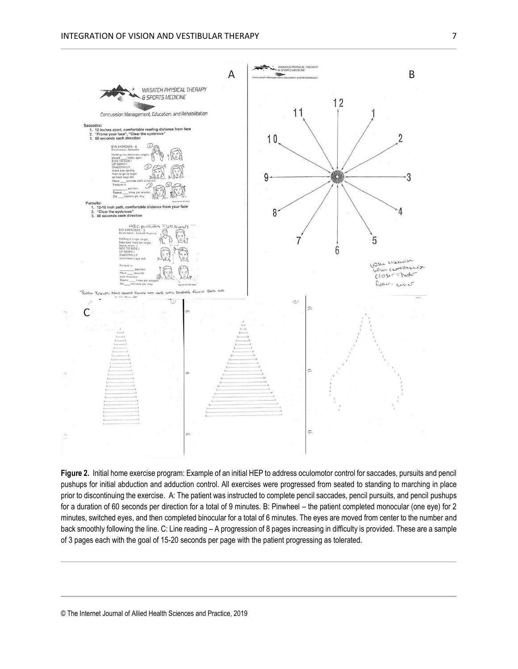

**Figure 2.** Initial home exercise program: Example of an initial HEP to address oculomotor control for saccades, pursuits and pencil pushups for initial abduction and adduction control. All exercises were progressed from seated to standing to marching in place prior to discontinuing the exercise. A: The patient was instructed to complete pencil saccades, pencil pursuits, and pencil pushups for a duration of 60 seconds per direction for a total of 9 minutes. B: Pinwheel – the patient completed monocular (one eye) for 2 minutes, switched eyes, and then completed binocular for a total of 6 minutes. The eyes are moved from center to the number and back smoothly following the line. C: Line reading – A progression of 8 pages increasing in difficulty is provided. These are a sample of 3 pages each with the goal of 15-20 seconds per page with the patient progressing as tolerated.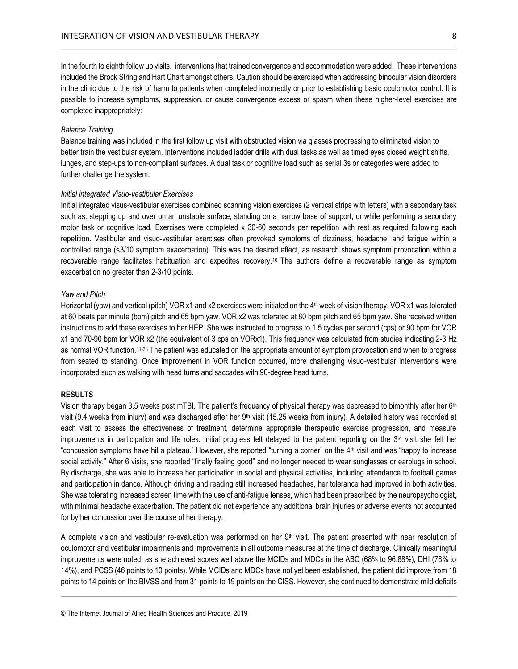In the fourth to eighth follow up visits, interventions that trained convergence and accommodation were added. These interventions included the Brock String and Hart Chart amongst others. Caution should be exercised when addressing binocular vision disorders in the clinic due to the risk of harm to patients when completed incorrectly or prior to establishing basic oculomotor control. It is possible to increase symptoms, suppression, or cause convergence excess or spasm when these higher-level exercises are completed inappropriately:

# *Balance Training*

Balance training was included in the first follow up visit with obstructed vision via glasses progressing to eliminated vision to better train the vestibular system. Interventions included ladder drills with dual tasks as well as timed eyes closed weight shifts, lunges, and step-ups to non-compliant surfaces. A dual task or cognitive load such as serial 3s or categories were added to further challenge the system.

# *Initial integrated Visuo-vestibular Exercises*

Initial integrated visus-vestibular exercises combined scanning vision exercises (2 vertical strips with letters) with a secondary task such as: stepping up and over on an unstable surface, standing on a narrow base of support, or while performing a secondary motor task or cognitive load. Exercises were completed x 30-60 seconds per repetition with rest as required following each repetition. Vestibular and visuo-vestibular exercises often provoked symptoms of dizziness, headache, and fatigue within a controlled range (<3/10 symptom exacerbation). This was the desired effect, as research shows symptom provocation within a recoverable range facilitates habituation and expedites recovery.16 The authors define a recoverable range as symptom exacerbation no greater than 2-3/10 points.

## *Yaw and Pitch*

Horizontal (yaw) and vertical (pitch) VOR x1 and x2 exercises were initiated on the 4<sup>th</sup> week of vision therapy. VOR x1 was tolerated at 60 beats per minute (bpm) pitch and 65 bpm yaw. VOR x2 was tolerated at 80 bpm pitch and 65 bpm yaw. She received written instructions to add these exercises to her HEP. She was instructed to progress to 1.5 cycles per second (cps) or 90 bpm for VOR x1 and 70-90 bpm for VOR x2 (the equivalent of 3 cps on VORx1). This frequency was calculated from studies indicating 2-3 Hz as normal VOR function.31-33 The patient was educated on the appropriate amount of symptom provocation and when to progress from seated to standing. Once improvement in VOR function occurred, more challenging visuo-vestibular interventions were incorporated such as walking with head turns and saccades with 90-degree head turns.

# **RESULTS**

Vision therapy began 3.5 weeks post mTBI. The patient's frequency of physical therapy was decreased to bimonthly after her  $6<sup>th</sup>$ visit (9.4 weeks from injury) and was discharged after her  $9<sup>th</sup>$  visit (15.25 weeks from injury). A detailed history was recorded at each visit to assess the effectiveness of treatment, determine appropriate therapeutic exercise progression, and measure improvements in participation and life roles. Initial progress felt delayed to the patient reporting on the  $3<sup>rd</sup>$  visit she felt her "concussion symptoms have hit a plateau." However, she reported "turning a corner" on the 4<sup>th</sup> visit and was "happy to increase social activity." After 6 visits, she reported "finally feeling good" and no longer needed to wear sunglasses or earplugs in school. By discharge, she was able to increase her participation in social and physical activities, including attendance to football games and participation in dance. Although driving and reading still increased headaches, her tolerance had improved in both activities. She was tolerating increased screen time with the use of anti-fatigue lenses, which had been prescribed by the neuropsychologist, with minimal headache exacerbation. The patient did not experience any additional brain injuries or adverse events not accounted for by her concussion over the course of her therapy.

A complete vision and vestibular re-evaluation was performed on her  $9<sup>th</sup>$  visit. The patient presented with near resolution of oculomotor and vestibular impairments and improvements in all outcome measures at the time of discharge. Clinically meaningful improvements were noted, as she achieved scores well above the MCIDs and MDCs in the ABC (68% to 96.88%), DHI (78% to 14%), and PCSS (46 points to 10 points). While MCIDs and MDCs have not yet been established, the patient did improve from 18 points to 14 points on the BIVSS and from 31 points to 19 points on the CISS. However, she continued to demonstrate mild deficits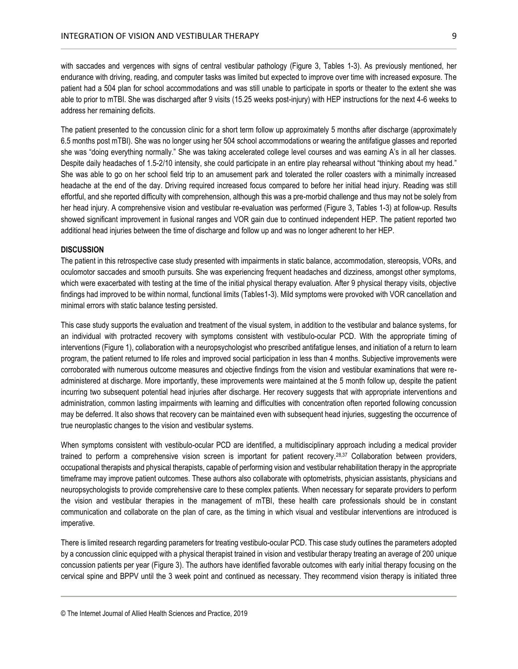with saccades and vergences with signs of central vestibular pathology (Figure 3, Tables 1-3). As previously mentioned, her endurance with driving, reading, and computer tasks was limited but expected to improve over time with increased exposure. The patient had a 504 plan for school accommodations and was still unable to participate in sports or theater to the extent she was able to prior to mTBI. She was discharged after 9 visits (15.25 weeks post-injury) with HEP instructions for the next 4-6 weeks to address her remaining deficits.

The patient presented to the concussion clinic for a short term follow up approximately 5 months after discharge (approximately 6.5 months post mTBI). She was no longer using her 504 school accommodations or wearing the antifatigue glasses and reported she was "doing everything normally." She was taking accelerated college level courses and was earning A's in all her classes. Despite daily headaches of 1.5-2/10 intensity, she could participate in an entire play rehearsal without "thinking about my head." She was able to go on her school field trip to an amusement park and tolerated the roller coasters with a minimally increased headache at the end of the day. Driving required increased focus compared to before her initial head injury. Reading was still effortful, and she reported difficulty with comprehension, although this was a pre-morbid challenge and thus may not be solely from her head injury. A comprehensive vision and vestibular re-evaluation was performed (Figure 3, Tables 1-3) at follow-up. Results showed significant improvement in fusional ranges and VOR gain due to continued independent HEP. The patient reported two additional head injuries between the time of discharge and follow up and was no longer adherent to her HEP.

# **DISCUSSION**

The patient in this retrospective case study presented with impairments in static balance, accommodation, stereopsis, VORs, and oculomotor saccades and smooth pursuits. She was experiencing frequent headaches and dizziness, amongst other symptoms, which were exacerbated with testing at the time of the initial physical therapy evaluation. After 9 physical therapy visits, objective findings had improved to be within normal, functional limits (Tables1-3). Mild symptoms were provoked with VOR cancellation and minimal errors with static balance testing persisted.

This case study supports the evaluation and treatment of the visual system, in addition to the vestibular and balance systems, for an individual with protracted recovery with symptoms consistent with vestibulo-ocular PCD. With the appropriate timing of interventions (Figure 1), collaboration with a neuropsychologist who prescribed antifatigue lenses, and initiation of a return to learn program, the patient returned to life roles and improved social participation in less than 4 months. Subjective improvements were corroborated with numerous outcome measures and objective findings from the vision and vestibular examinations that were readministered at discharge. More importantly, these improvements were maintained at the 5 month follow up, despite the patient incurring two subsequent potential head injuries after discharge. Her recovery suggests that with appropriate interventions and administration, common lasting impairments with learning and difficulties with concentration often reported following concussion may be deferred. It also shows that recovery can be maintained even with subsequent head injuries, suggesting the occurrence of true neuroplastic changes to the vision and vestibular systems.

When symptoms consistent with vestibulo-ocular PCD are identified, a multidisciplinary approach including a medical provider trained to perform a comprehensive vision screen is important for patient recovery.28,37 Collaboration between providers, occupational therapists and physical therapists, capable of performing vision and vestibular rehabilitation therapy in the appropriate timeframe may improve patient outcomes. These authors also collaborate with optometrists, physician assistants, physicians and neuropsychologists to provide comprehensive care to these complex patients. When necessary for separate providers to perform the vision and vestibular therapies in the management of mTBI, these health care professionals should be in constant communication and collaborate on the plan of care, as the timing in which visual and vestibular interventions are introduced is imperative.

There is limited research regarding parameters for treating vestibulo-ocular PCD. This case study outlines the parameters adopted by a concussion clinic equipped with a physical therapist trained in vision and vestibular therapy treating an average of 200 unique concussion patients per year (Figure 3). The authors have identified favorable outcomes with early initial therapy focusing on the cervical spine and BPPV until the 3 week point and continued as necessary. They recommend vision therapy is initiated three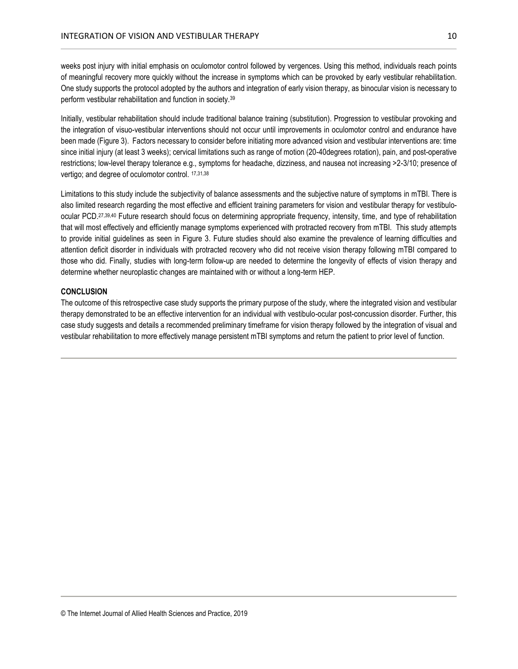weeks post injury with initial emphasis on oculomotor control followed by vergences. Using this method, individuals reach points of meaningful recovery more quickly without the increase in symptoms which can be provoked by early vestibular rehabilitation. One study supports the protocol adopted by the authors and integration of early vision therapy, as binocular vision is necessary to perform vestibular rehabilitation and function in society.<sup>39</sup>

Initially, vestibular rehabilitation should include traditional balance training (substitution). Progression to vestibular provoking and the integration of visuo-vestibular interventions should not occur until improvements in oculomotor control and endurance have been made (Figure 3). Factors necessary to consider before initiating more advanced vision and vestibular interventions are: time since initial injury (at least 3 weeks); cervical limitations such as range of motion (20-40degrees rotation), pain, and post-operative restrictions; low-level therapy tolerance e.g., symptoms for headache, dizziness, and nausea not increasing >2-3/10; presence of vertigo; and degree of oculomotor control. 17,31,38

Limitations to this study include the subjectivity of balance assessments and the subjective nature of symptoms in mTBI. There is also limited research regarding the most effective and efficient training parameters for vision and vestibular therapy for vestibuloocular PCD.27,39,40 Future research should focus on determining appropriate frequency, intensity, time, and type of rehabilitation that will most effectively and efficiently manage symptoms experienced with protracted recovery from mTBI. This study attempts to provide initial guidelines as seen in Figure 3. Future studies should also examine the prevalence of learning difficulties and attention deficit disorder in individuals with protracted recovery who did not receive vision therapy following mTBI compared to those who did. Finally, studies with long-term follow-up are needed to determine the longevity of effects of vision therapy and determine whether neuroplastic changes are maintained with or without a long-term HEP.

# **CONCLUSION**

The outcome of this retrospective case study supports the primary purpose of the study, where the integrated vision and vestibular therapy demonstrated to be an effective intervention for an individual with vestibulo-ocular post-concussion disorder. Further, this case study suggests and details a recommended preliminary timeframe for vision therapy followed by the integration of visual and vestibular rehabilitation to more effectively manage persistent mTBI symptoms and return the patient to prior level of function.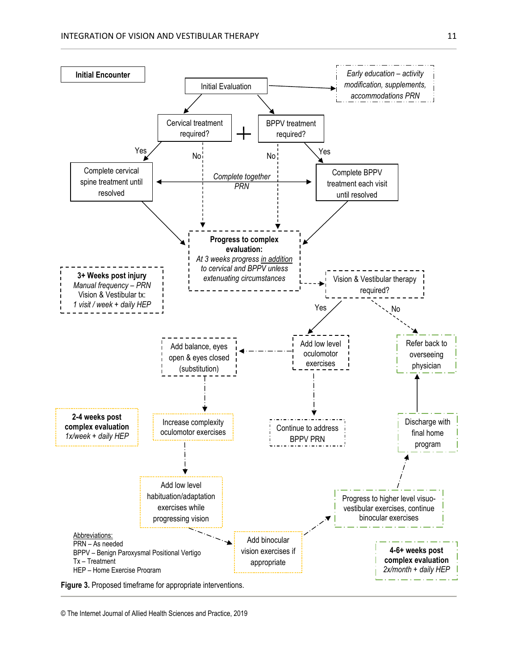

<sup>©</sup> The Internet Journal of Allied Health Sciences and Practice, 2019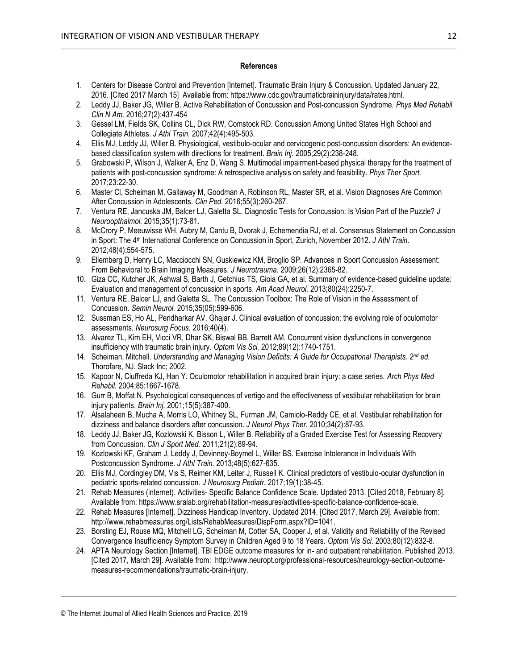# **References**

- 1. Centers for Disease Control and Prevention [Internet]. Traumatic Brain Injury & Concussion. Updated January 22, 2016. [Cited 2017 March 15] Available from: https://www.cdc.gov/traumaticbraininjury/data/rates.html.
- 2. Leddy JJ, Baker JG, Willer B. Active Rehabilitation of Concussion and Post-concussion Syndrome. *Phys Med Rehabil Clin N Am.* 2016;27(2):437-454
- 3. Gessel LM, Fields SK, Collins CL, Dick RW, Comstock RD. Concussion Among United States High School and Collegiate Athletes. *J Athl Train.* 2007;42(4):495-503.
- 4. Ellis MJ, Leddy JJ, Willer B. Physiological, vestibulo-ocular and cervicogenic post-concussion disorders: An evidencebased classification system with directions for treatment. *Brain Inj.* 2005;29(2):238-248.
- 5. Grabowski P, Wilson J, Walker A, Enz D, Wang S. Multimodal impairment-based physical therapy for the treatment of patients with post-concussion syndrome: A retrospective analysis on safety and feasibility. *Phys Ther Sport.* 2017;23:22-30.
- 6. Master Cl, Scheiman M, Gallaway M, Goodman A, Robinson RL, Master SR, et al. Vision Diagnoses Are Common After Concussion in Adolescents. *Clin Ped.* 2016;55(3):260-267.
- 7. Ventura RE, Jancuska JM, Balcer LJ, Galetta SL. Diagnostic Tests for Concussion: Is Vision Part of the Puzzle? *J Neuroopthalmol.* 2015;35(1):73-81.
- 8. McCrory P, Meeuwisse WH, Aubry M, Cantu B, Dvorak J, Echemendia RJ, et al. Consensus Statement on Concussion in Sport: The 4<sup>th</sup> International Conference on Concussion in Sport, Zurich, November 2012. *J Athl Train.* 2012;48(4):554-575.
- 9. Ellemberg D, Henry LC, Macciocchi SN, Guskiewicz KM, Broglio SP. Advances in Sport Concussion Assessment: From Behavioral to Brain Imaging Measures. *J Neurotrauma.* 2009;26(12):2365-82.
- 10. Giza CC, Kutcher JK, Ashwal S, Barth J, Getchius TS, Gioia GA, et al. Summary of evidence-based guideline update: Evaluation and management of concussion in sports. *Am Acad Neurol.* 2013;80(24):2250-7.
- 11. Ventura RE, Balcer LJ, and Galetta SL. The Concussion Toolbox: The Role of Vision in the Assessment of Concussion. *Semin Neurol.* 2015;35(05):599-606.
- 12. Sussman ES, Ho AL, Pendharkar AV, Ghajar J. Clinical evaluation of concussion: the evolving role of oculomotor assessments. *Neurosurg Focus.* 2016;40(4).
- 13. Alvarez TL, Kim EH, Vicci VR, Dhar SK, Biswal BB, Barrett AM. Concurrent vision dysfunctions in convergence insufficiency with traumatic brain injury. *Optom Vis Sci.* 2012;89(12):1740-1751.
- 14. Scheiman, Mitchell. *Understanding and Managing Vision Deficits: A Guide for Occupational Therapists. 2nd ed.* Thorofare, NJ. Slack Inc; 2002.
- 15. Kapoor N, Ciuffreda KJ, Han Y. Oculomotor rehabilitation in acquired brain injury: a case series. *Arch Phys Med Rehabil.* 2004;85:1667-1678.
- 16. Gurr B, Moffat N. Psychological consequences of vertigo and the effectiveness of vestibular rehabilitation for brain injury patients. *Brain Inj.* 2001;15(5):387-400.
- 17. Alsalaheen B, Mucha A, Morris LO, Whitney SL, Furman JM, Camiolo-Reddy CE, et al. Vestibular rehabilitation for dizziness and balance disorders after concussion. *J Neurol Phys Ther.* 2010;34(2):87-93.
- 18. Leddy JJ, Baker JG, Kozlowski K, Bisson L, Willer B. Reliability of a Graded Exercise Test for Assessing Recovery from Concussion. *Clin J Sport Med.* 2011;21(2):89-94.
- 19. Kozlowski KF, Graham J, Leddy J, Devinney-Boymel L, Willer BS. Exercise Intolerance in Individuals With Postconcussion Syndrome. *J Athl Train.* 2013;48(5):627-635.
- 20. Ellis MJ, Cordingley DM, Vis S, Reimer KM, Leiter J, Russell K. Clinical predictors of vestibulo-ocular dysfunction in pediatric sports-related concussion. *J Neurosurg Pediatr.* 2017;19(1):38-45.
- 21. Rehab Measures (internet). Activities- Specific Balance Confidence Scale. Updated 2013. [Cited 2018, February 8]. Available from: https://www.sralab.org/rehabilitation-measures/activities-specific-balance-confidence-scale.
- 22. Rehab Measures [Internet]. Dizziness Handicap Inventory. Updated 2014. [Cited 2017, March 29]. Available from: http://www.rehabmeasures.org/Lists/RehabMeasures/DispForm.aspx?ID=1041.
- 23. Borsting EJ, Rouse MQ, Mitchell LG, Scheiman M, Cotter SA, Cooper J, et al. Validity and Reliability of the Revised Convergence Insufficiency Symptom Survey in Children Aged 9 to 18 Years. *Optom Vis Sci.* 2003;80(12):832-8.
- 24. APTA Neurology Section [Internet]. TBI EDGE outcome measures for in- and outpatient rehabilitation. Published 2013. [Cited 2017, March 29]. Available from: http://www.neuropt.org/professional-resources/neurology-section-outcomemeasures-recommendations/traumatic-brain-injury.

<sup>©</sup> The Internet Journal of Allied Health Sciences and Practice, 2019